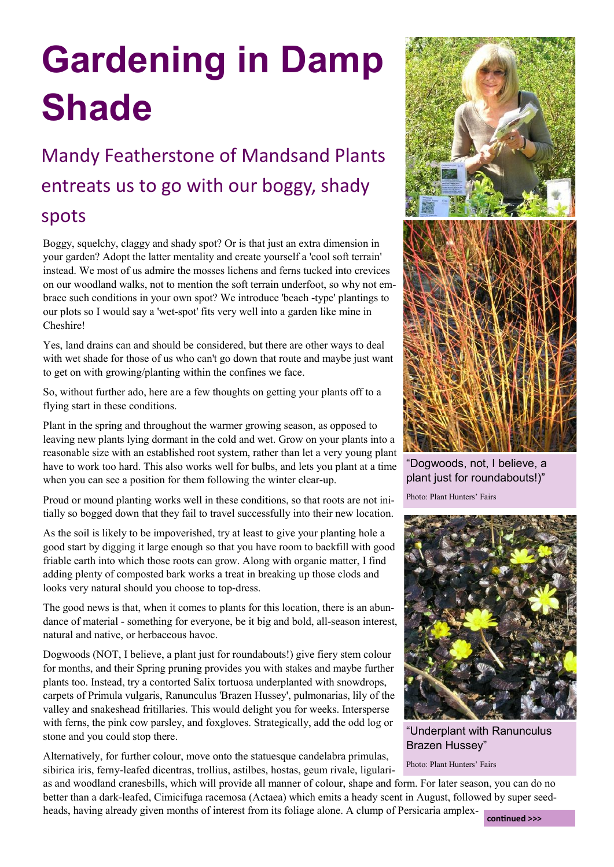## **Gardening in Damp Shade**

## Mandy Featherstone of Mandsand Plants entreats us to go with our boggy, shady spots

Boggy, squelchy, claggy and shady spot? Or is that just an extra dimension in your garden? Adopt the latter mentality and create yourself a 'cool soft terrain' instead. We most of us admire the mosses lichens and ferns tucked into crevices on our woodland walks, not to mention the soft terrain underfoot, so why not embrace such conditions in your own spot? We introduce 'beach -type' plantings to our plots so I would say a 'wet-spot' fits very well into a garden like mine in Cheshire!

Yes, land drains can and should be considered, but there are other ways to deal with wet shade for those of us who can't go down that route and maybe just want to get on with growing/planting within the confines we face.

So, without further ado, here are a few thoughts on getting your plants off to a flying start in these conditions.

Plant in the spring and throughout the warmer growing season, as opposed to leaving new plants lying dormant in the cold and wet. Grow on your plants into a reasonable size with an established root system, rather than let a very young plant have to work too hard. This also works well for bulbs, and lets you plant at a time when you can see a position for them following the winter clear-up.

Proud or mound planting works well in these conditions, so that roots are not initially so bogged down that they fail to travel successfully into their new location.

As the soil is likely to be impoverished, try at least to give your planting hole a good start by digging it large enough so that you have room to backfill with good friable earth into which those roots can grow. Along with organic matter, I find adding plenty of composted bark works a treat in breaking up those clods and looks very natural should you choose to top-dress.

The good news is that, when it comes to plants for this location, there is an abundance of material - something for everyone, be it big and bold, all-season interest, natural and native, or herbaceous havoc.

Dogwoods (NOT, I believe, a plant just for roundabouts!) give fiery stem colour for months, and their Spring pruning provides you with stakes and maybe further plants too. Instead, try a contorted Salix tortuosa underplanted with snowdrops, carpets of Primula vulgaris, Ranunculus 'Brazen Hussey', pulmonarias, lily of the valley and snakeshead fritillaries. This would delight you for weeks. Intersperse with ferns, the pink cow parsley, and foxgloves. Strategically, add the odd log or stone and you could stop there.

Alternatively, for further colour, move onto the statuesque candelabra primulas, sibirica iris, ferny-leafed dicentras, trollius, astilbes, hostas, geum rivale, ligulari-



"Dogwoods, not, I believe, a plant just for roundabouts!)"

Photo: Plant Hunters' Fairs



"Underplant with Ranunculus Brazen Hussey"

Photo: Plant Hunters' Fairs

as and woodland cranesbills, which will provide all manner of colour, shape and form. For later season, you can do no better than a dark-leafed, Cimicifuga racemosa (Actaea) which emits a heady scent in August, followed by super seedheads, having already given months of interest from its foliage alone. A clump of Persicaria amplex